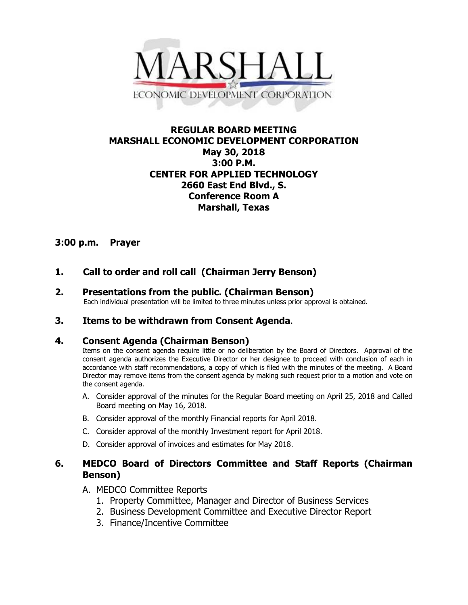

## **REGULAR BOARD MEETING MARSHALL ECONOMIC DEVELOPMENT CORPORATION May 30, 2018 3:00 P.M. CENTER FOR APPLIED TECHNOLOGY 2660 East End Blvd., S. Conference Room A Marshall, Texas**

## **3:00 p.m. Prayer**

# **1. Call to order and roll call (Chairman Jerry Benson)**

**2. Presentations from the public. (Chairman Benson)**<br>Each individual presentation will be limited to three minutes unless prior approval is obtained.

## **3. Items to be withdrawn from Consent Agenda.**

### **4. Consent Agenda (Chairman Benson)**

Items on the consent agenda require little or no deliberation by the Board of Directors. Approval of the consent agenda authorizes the Executive Director or her designee to proceed with conclusion of each in accordance with staff recommendations, a copy of which is filed with the minutes of the meeting. A Board Director may remove items from the consent agenda by making such request prior to a motion and vote on the consent agenda.

- A. Consider approval of the minutes for the Regular Board meeting on April 25, 2018 and Called Board meeting on May 16, 2018.
- B. Consider approval of the monthly Financial reports for April 2018.
- C. Consider approval of the monthly Investment report for April 2018.
- D. Consider approval of invoices and estimates for May 2018.

## **6. MEDCO Board of Directors Committee and Staff Reports (Chairman Benson)**

- A. MEDCO Committee Reports
	- 1. Property Committee, Manager and Director of Business Services
	- 2. Business Development Committee and Executive Director Report
	- 3. Finance/Incentive Committee